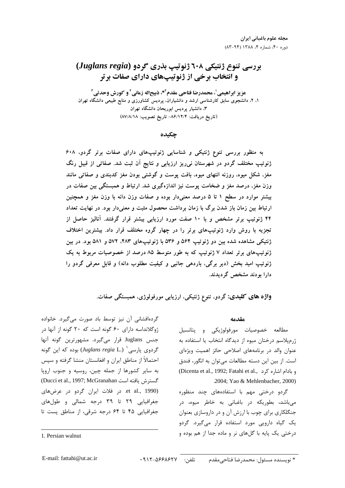# بررسی تنوع ژنتیکی ۲۰۸ ژنوتیپ بذری گردو (Juglans regia) و انتخاب برخی از ژنوتیپهای دارای صفات برتر

عزيز ابراهيمي ٰ، محمدرضا فتاحي مقدم َّ\*، ذبيحاله زماني َ و كورش وحدتي ِّ ۱، ۲، دانشجوی سابق کارشناسی ارشد و دانشیاران، پردیس کشاورزی و منابع طبیعی دانشگاه تهران ۳، دانشیار پردیس ابوریحان دانشگاه تهران (تاريخ دريافت: ٨۶/١٢/۴- تاريخ تصويب: ٨٧/٨/١٨)

چکىدە

به منظور بررسی تنوع ژنتیکی و شناسایی ژنوتیپهای دارای صفات برتر گردو، ۶۰۸ ژنوتیپ مختلف گردو در شهرستان نی ریز ارزیابی و نتایج اَن ثبت شد. صفاتی از قبیل رنگ مغز، شکل میوه، روزنه انتهای میوه، بافت یوست و گوشتی بودن مغز کدبندی و صفاتی مانند وزن مغز، درصد مغز و ضخامت یوست نیز اندازهگیری شد. ارتباط و همبستگی بین صفات در بیشتر موارد در سطح ۱ تا ۵ درصد معنیدار بوده و صفات وزن دانه با وزن مغز و همچنین ارتباط بین زمان باز شدن برگ با زمان برداشت محصول مثبت و معنیدار بود. در نهایت تعداد ۴۴ ژنوتیپ برتر مشخص و با ۱۰ صفت مورد ارزیابی بیشتر قرار گرفتند. آنالیز حاصل از تجزیه با روش وارد ژنوتیپهای برتر را در چهار گروه مختلف قرار داد. بیشترین اختلاف ژنتیکی مشاهده شده بین دو ژنوتیپ ۵۶۴ و ۵۳۶ با ژنوتیپهای ۴۸۳، ۵۷۲ و ۵۸۱ بود. در بین ژنوتیپهای برتر تعداد ۷ ژنوتیپ که به طور متوسط ۸۵ درصد از خصوصیات مربوط به یک ژنوتیپ امید بخش (دیر برگی، باردهی جانبی و کیفیت مطلوب دانه) و قابل معرفی گردو را دارا بودند مشخص گردیدند.

واژه های کلیدی: گردو، تنوع ژنتیکی، ارزیابی مورفولوژی، همبستگی صفات.

مقدمه

مطالعه خصوصيات مورفولوژيكى و پتانسيل ژرم پلاسم درختان میوه از دیدگاه انتخاب یا استفاده به عنوان والد در برنامههای اصلاحی حائز اهمیت ویژهای است. از بین این دسته مطالعات می توان به انگور، فندق (Dicenta et al., 1992; Fatahi et al., د مادام اشاره کرد .2004; Yao & Mehlenbacher, 2000)

گردو درختی مهم با استفادههای چند منظوره می باشد، بطوریکه در باغبانی به خاطر میوه، در جنگلکاری برای چوب با ارزش آن و در داروسازی بعنوان یک گیاه دارویی مورد استفاده قرار می گیرد. گردو درختي يک پايه با گلهاي نړ و ماده جدا از هم بوده و

گردهافشانی آن نیز توسط باد صورت میگیرد. خانواده ژوگلانداسه دارای ۶۰ گونه است که ۲۰ گونه از آنها در جنس Juglans قرار می گیرد. مشهورترین گونه آنها گردوی پارسی <sup>۱</sup> (.Juglans regia L) بوده که این گونه احتمالاً از مناطق ایران و افغانستان منشا گرفته و سیس به سایر کشورها از جمله چین، روسیه و جنوب اروپا Consider al., 1997; McGranahan است من افته است et al., 1990). در فلات ایران گردو در عرضهای جغرافیایی ۲۹ تا ۳۹ درجه شمالی و طولهای جغرافیایی ۴۵ تا ۶۴ درجه شرقی، از مناطق پست تا

<sup>1.</sup> Persian walnut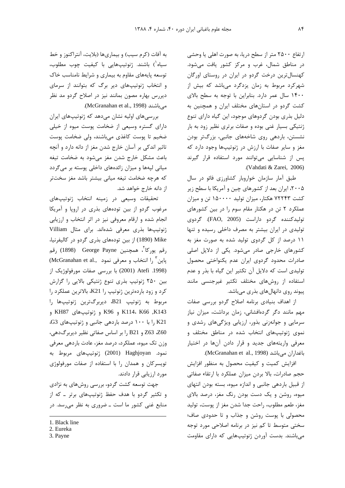ارتفاع ۲۵۰۰ متر از سطح دریا، به صورت اهلی یا وحشی در مناطق شمال، غرب و مركز كشور يافت مى شود. کهنسال ترین درخت گردو در ایران در روستای اورگان شهرکرد مربوط به زمان یزدگرد میباشد که بیش از ۱۴۰۰ سال عمر دارد. بنابراین با توجه به سطح بالای کشت گردو در استانهای مختلف ایران و همچنین به دلیل بذری بودن گردوهای موجود، این گیاه دارای تنوع ژنتیکی بسیار غنی بوده و صفات برتری نظیر زود به بار نشستن، باردهی روی شاخههای جانبی، بزرگتر بودن مغز و سایر صفات با ارزش در ژنوتیپها وجود دارد که پس از شناسایی میتوانند مورد استفاده قرار گیرند .(Vahdati & Zarei, 2006)

طبق آمار سازمان خواروبار كشاورزى فائو در سال ۲۰۰۵، ایران بعد از کشورهای چین و آمریکا با سطح زیر کشت ۷۲۲۴۳ هکتار، میزان تولید ۱۵۰۰۰۰ تن و میزان عملکرد ۲ تن در هکتار مقام سوم را در بین کشورهای توليدكننده گردو داراست (FAO, 2005). گردوی تولیدی در ایران بیشتر به مصرف داخلی رسیده و تنها ۱۱ درصد از کل گردوی تولید شده به صورت مغز به کشورهای خارجی صادر میشود. یکی از دلایل اصلی صادرات محدود گردوی ایران عدم یکنواختی محصول تولیدی است که دلایل آن تکثیر این گیاه با بذر و عدم استفاده از روشهای مختلف تکثیر غیرجنسی مانند ییوند روی دانهالهای بذری میباشد.

از اهداف بنیادی برنامه اصلاح گردو بررسی صفات مهم مانند دگر گردهافشانی، زمان برداشت، میزان نیاز سرمایی و جوانهزنی بذور، ارزیابی ویژگیهای رشدی و نموی ژنوتیپهای انتخاب شده در مناطق مختلف و معرفی واریتههای جدید و قرار دادن آنها در اختیار باغداران می باشد (McGranahan et al., 1998).

افزایش کمیت و کیفیت محصول به منظور افزایش حجم صادرات، بالا بردن ميزان عملكرد با ارتقاء صفاتي از قبیل باردهی جانبی و اندازه میوه، بسته بودن انتهای میوه، روشن و یک دست بودن رنگ مغز، درصد بالای مغز، طعم مطلوب، راحت جدا شدن مغز از پوست، توليد محصولی با پوست روشن و جذاب و تا حدودی صاف؛ سختی متوسط تا کم نیز در برنامه اصلاحی مورد توجه میباشند. بدست آوردن ژنوتیپهایی که دارای مقاومت

به آفات (کرم سیب) و بیماریها (بلایت، آنتراکنوز و خط سیاه<sup>(</sup>) باشند. ژنوتیپهایی با کیفیت چوب مطلوب، توسعه یایههای مقاوم به بیماری و شرایط نامناسب خاک و انتخاب ژنوتیپهای دیر برگ که بتوانند از سرمای دیررس بهاره مصون بمانند نیز در اصلاح گردو مد نظر .(McGranahan et al., 1998).

بررسی های اولیه نشان می دهد که ژنوتیپهای ایران دارای گستره وسیعی از ضخامت پوست میوه از خیلی ضخیم تا یوست کاغذی می باشند، ولی ضخامت یوست تاثیر اندکی بر آسان خارج شدن مغز از دانه دارد و آنچه باعث مشكل خارج شدن مغز مى شود به ضخامت تيغه میانی لپهها و میزان زائدههای داخلی پوسته بر میگردد که هرچه ضخامت تیغه میانی بیشتر باشد مغز سختتر از دانه خارج خواهد شد.

تحقیقات وسیعی در زمینه انتخاب ژنوتیپهای مرغوب گردو از بین تودههای بذری در اروپا و آمریکا انجام شده و ارقام معروفی نیز در اثر انتخاب و ارزیابی ژنوتیپها بذری معرفی شدهاند. برای مثال Villiam Mike (1890) از بین تودههای بذری گردو در کالیفرنیا، رقم يوركا<sup>ץ</sup>، همچنين George Payne (1898) رقم (McGranahan et al., ياين " را انتخاب و معرفي نمود) (1998. Atefi) با بررسی صفات مورفولوژیک از بین ۲۵۰ ژنوتیپ بذری تنوع ژنتیکی بالایی را گزارش کرد و زود باردهترین ژنوتیپ را K21، بالاترین عملکرد را مربوط به ژنوتیپ B21، دیربرگترین ژنوتیپها را K143, K144، K66 و K96 و ژنوتیپهای KH87 و K21 را با ۱۰۰ درصد باردهی جانبی و ژنوتیپهای G3، Z63 ،Z60 و B21 ,ا بر اساس صفاتي نظير ديربرگ دهي، وزن تک میوه، عملکرد، درصد مغز، عادت باردهی معرفی نمود. Haghjoyan (2001) ژنوتیپهای مربوط به تویسرکان و همدان را با استفاده از صفات مورفولوژی مورد ارزیابی قرار دادند.

جهت توسعه کشت گردو، بررسی روشهای به نژادی و تکثیر گردو با هدف حفظ ژنوتیپهای برتر ـ که از منابع غنی کشور ما است ــ ضروری به نظر می سد. در

3. Payne

<sup>1.</sup> Black line

<sup>2.</sup> Eureka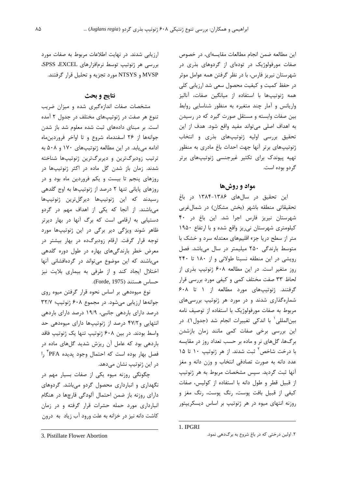این مطالعه ضمن انجام مطالعات مقایسهای، در خصوص صفات مورفولوژیک در تودهای از گردوهای بذری در شهرستان نیریز فارس، با در نظر گرفتن همه عوامل موثر در حفظ کمیت و کیفیت محصول سعی شد ارزیابی کلی همه ژنوتیپها با استفاده از میانگین صفات، آنالیز واریانس و آمار چند متغیره به منظور شناسایی روابط بین صفات وابسته و مستقل صورت گیرد که در رسیدن به اهداف اصلی می تواند مفید واقع شود. هدف از این تحقیق بررسی اولیه ژنوتیپهای بذری و انتخاب ژنوتیپهای برتر آنها جهت احداث باغ مادری به منظور تهیه پیوندک برای تکثیر غیرجنسی ژنوتیپهای برتر گردو بوده است.

## مواد و روشها

این تحقیق در سالهای ۱۳۸۶-۱۳۸۴ در باغ تحقیقاتی منطقه باشهر (بخش مشکان) در شمال غربی شهرستان نیریز فارس اجرا شد. این باغ در ۴۰ کیلومتری شهرستان نی ریز واقع شده و با ارتفاع ۱۹۵۰ متر از سطح دریا جزء اقلیمهای معتدله سرد و خشک با متوسط بارندگی ۲۵۰ میلیمتر در سال میباشد. فصل رویشی در این منطقه نسبتا طولانی و از ١٨٠ تا ٢۴٠ روز متغیر است. در این مطالعه ۶۰۸ ژنوتیپ بذری از لحاظ ٣٣ صفت مختلف كمي و كيفي مورد بررسي قرار گرفتند. ژنوتیپهای مورد مطالعه از ۱ تا ۶۰۸ شمارهگذاری شدند و در مورد هر ژنوتیپ بررسی های مربوط به صفات مورفولوژیک با استفاده از توصیف نامه بين|لمللي ٰ با اندكى تغييرات انجام شد (جدول١). در این بررسی برخی صفات کمی مانند زمان بازشدن برگها، گلهای نر و ماده بر حسب تعداد روز در مقایسه با درخت شاخص ٔ ثبت شدند. از هر ژنوتیپ ۱۰ تا ۱۵ عدد دانه به صورت تصادفي انتخاب و وزن دانه و مغز آنها ثبت گردید. سیس مشخصات مربوط به هر ژنوتیپ از قبيل قطر و طول دانه با استفاده از كوليس، صفات کیفی از قبیل بافت پوست، رنگ پوست، رنگ مغز و روزنه انتهای میوه در هر ژنوتیپ بر اساس دیسکرییتور

1. IPGRI

۲. اولین درختی که در باغ شروع به برگدهی نمود.

ارزیابی شدند. در نهایت اطلاعات مربوط به صفات مورد بررسی هر ژنوتیپ توسط نرمافزارهای SPSS ،EXCEL MVSP و NTSYS مورد تجزيه و تحليل قرار گرفتند.

# نتايج و بحث

مشخصات صفات اندازهگیری شده و میزان ضریب تنوع هر صفت در ژنوتیپهای مختلف در جدول ۲ آمده است. بر مبنای دادههای ثبت شده معلوم شد باز شدن جوانهها از ٢۶ اسفندماه شروع و تا اواخر فروردينماه ادامه می یابد. در این مطالعه ژنوتیپهای ۱۷۰ و ۵۰۸ به ترتیب زودبرگترین و دیربرگترین ژنوتیپها شناخته شدند. زمان باز شدن گل ماده در اکثر ژنوتیپها در روزهای پنجم تا بیست و یکم فروردین ماه بود و در روزهای پایانی تنها ۲ درصد از ژنوتیپها به اوج گلدهی رسيدند كه اين ژنوتيپها ديرگلترين ژنوتيپها می باشند. از آنجا که یکی از اهداف مهم در گردو دستیابی به ارقامی است که برگ آنها در بهار دیرتر ظاهر شوند ویژگی دیر برگی در این ژنوتیپها مورد توجه قرار گرفت. ارقام زودبرگده در بهار بیشتر در معرض خطر بارندگیهای بهاره در طول دوره گلدهی میباشند که این موضوع میتواند در گردهافشانی آنها اختلال ایجاد کند و از طرفی به بیماری بلایت نیز حساس هستند (Forde, 1975).

نوع میوهدهی بر اساس نحوه قرار گرفتن میوه روی جوانهها ارزيابي مي شود. در مجموع ۶۰۸ ژنوتيپ؛ ۳۲/۷ درصد دارای باردهی جانبی، ۱۹/۹ درصد دارای باردهی انتهایی و ۴۷/۲ درصد از ژنوتیپها دارای میوهدهی حد واسط بودند. در بین ۶۰۸ ژنوتیپ تنها یک ژنوتیپ فاقد باردهی بود که عامل آن ریزش شدید گلهای ماده در فصل بهار بوده است که احتمال وجود پدیده PFA<sup>۳</sup> را در این ژنوتیپ نشان میدهد.

چگونگی روزنه میوه یکی از صفات بسیار مهم در نگهداری و انبارداری محصول گردو میباشد. گردوهای دارای روزنه باز ضمن احتمال آلودگی قارچها در هنگام انبارداری مورد حمله حشرات قرار گرفته و در زمان كاشت دانه نيز در خزانه به علت ورود آب زياد به درون

<sup>3.</sup> Pistillate Flower Abortion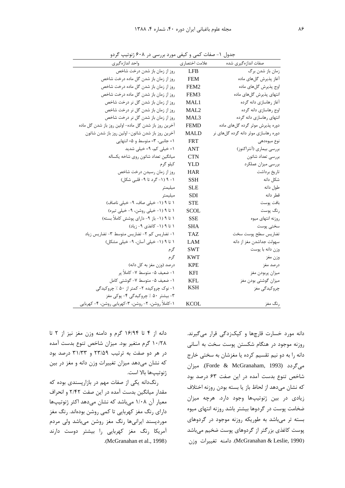| واحد اندازهگیری                                      | علامت اختصاري    | صفات اندازه گیری شده                 |
|------------------------------------------------------|------------------|--------------------------------------|
| روز از زمان باز شدن درخت شاخص                        | <b>LFB</b>       | زمان باز شدن برگ                     |
| روز از زمان باز شدن گل ماده درخت شاخص                | <b>FEM</b>       | آغاز پذیرش گلهای ماده                |
| روز از زمان باز شدن گل ماده درخت شاخص                | FEM <sub>2</sub> | اوج پذيرش گلهاي ماده                 |
| روز از زمان باز شدن گل ماده درخت شاخص                | FEM3             | انتهای پذیرش گلهای ماده              |
| روز از زمان باز شدن گل نر درخت شاخص                  | MAL1             | آغاز رهاسازي دانه گرده               |
| روز از زمان باز شدن گل نر درخت شاخص                  | MAL2             | اوج رهاسازي دانه گرده                |
| روز از زمان باز شدن گل نر درخت شاخص                  | MAL <sub>3</sub> | انتهای رهاسازی دانه گرده             |
| آخرین روز باز شدن گل ماده- اولین روز باز شدن گل ماده | <b>FEMD</b>      | دوره پذیرش موثر گرده گلهای ماده      |
| آخرین روز باز شدن شاتون- اولین روز باز شدن شاتون     | <b>MALD</b>      | دوره رهاسازی موثر دانه گرده گلهای نر |
| ١= جانبي، ٣= متوسط و ۵= انتهايي                      | <b>FRT</b>       | نوع ميوەدھى                          |
| ۱= خیلی کم، ۹= خیلی شدید                             | ANT              | بررسي بيماري (أنتراكنوز)             |
| ميانگين تعداد شاتون روى شاخه يكساله                  | CTN              | بررسي تعداد شاتون                    |
| کیلو گرم                                             | YLD              | بررسي ميزان عملكرد                   |
| روز از زمان رسيدن درخت شاخص                          | HAR              | تاريخ برداشت                         |
| ۱- ۹ (۱- گرد تا ۹- قلبی شکل)                         | SSH              | شكل دانه                             |
| ميليمتر                                              | SLE              | طول دانه                             |
| ميليمتر                                              | SDI              | قطر دانه                             |
| ١ تا ٩ (١- خيلي صاف، ٩- خيلي ناصاف)                  | STE              | بافت پوست                            |
| ١ تا ٩ (١- خيلي روشن، ٩- خيلي تيره)                  | SCOL             | رنگ پوست                             |
| ۱ تا ۹ (۱- باز ۹- دارای پوشش کاملاً بسته)            | <b>SSE</b>       | روزنه انتهاى ميوه                    |
| ۱ تا ۹ (۱- کاغذی ۹- زیاد)                            | SHA              | سختى پوست                            |
| ۱- تضاریس کم ۲- تضاریس متوسط ۳- تضاریس زیاد          | TAZ.             | تضاريس سطح پوست سخت                  |
| ١ تا ٩ (١- خيلى آسان، ٩- خيلى مشكل)                  | LAM              | سهولت جداشدن مغز از دانه             |
| گر م                                                 | <b>SWT</b>       | وزن دانه با پوست                     |
| گرم                                                  | KWT              | وزن مغز                              |
| درصد (وزن مغز به كل دانه)                            | <b>KPE</b>       | درصد مغز                             |
| ١- ضعيف ۵- متوسط ٧- كاملاً پر                        | KFI              | ميزان پربودن مغز                     |
| ١- ضعيف ۵- متوسط ٧- گوشتي كامل                       | KFL              | میزان گوشتی بودن مغز                 |
| ۱- نوک چروکیده ۲- کمتر از ۵۰ ٪ چروکیدگی              | KSH              | چروکیدگی مغز                         |
| ۳- بیشتر ۵۰ ٪ چروکیدگی ۴- پوکی مغز                   |                  |                                      |
| ۱-کاملاً روشن، ۲- روشن، ۳-کهربایی روشن، ۴- کهربایی   | <b>KCOL</b>      | رنگ مغز                              |

جدول ۱- صفات کمی و کیفی مورد بررسی در ۶۰۸ ژنوتیپ گردو

دانه مورد خسارت قارچها و کپکزدگی قرار میگیرند. روزنه موجود در هنگام شکستن پوست سخت به آسانی دانه را به دو نیم تقسیم کرده یا مغزشان به سختی خارج مے گردد (Forde & McGranaham, 1993). میزان شاخص تنوع بدست آمده در این صفت ۶۳ درصد بود كه نشان مىدهد از لحاظ باز يا بسته بودن روزنه اختلاف زیادی در بین ژنوتیپها وجود دارد. هرچه میزان ضخامت یوست در گردوها بیشتر باشد روزنه انتهای میوه بسته تر میباشد به طوریکه روزنه موجود در گردوهای پوست کاغذی بزرگتر از گردوهای پوست ضخیم میباشد (McGranahan & Leslie, 1990). دامنه تغییرات وزن

دانه از ۴ تا ۱۶/۹۴ گرم و دامنه وزن مغز نیز از ۲ تا ۱۰/۲۸ گرم متغیر بود. میزان شاخص تنوع بدست آمده در هر دو صفت به ترتیب ۲۳/۵۹ و ۳۱/۳۳ درصد بود که نشان میدهد میزان تغییرات وزن دانه و مغز در بین ژنوتیپها بالا است.

رنگ دانه یکی از صفات مهم در بازارپسندی بوده که مقدار میانگین بدست آمده در این صفت ۲/۴۲ و انحراف معیار آن ۱/۰۸ میباشد که نشان میدهد اکثر ژنوتیپها دارای رنگ مغز کهربایی تا کمی روشن بودهاند. رنگ مغز موردپسند ایرانیها رنگ مغز روشن میباشد ولی مردم آمریکا رنگ مغز کھربایی را بیشتر دوست دارند .(McGranahan et al., 1998)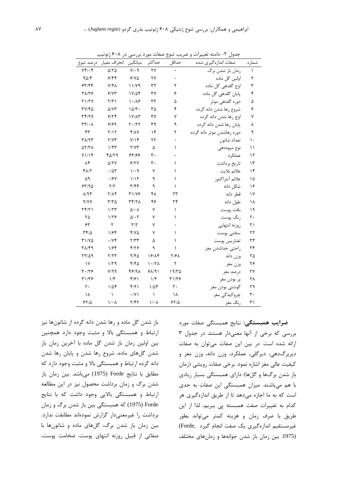| شماره | صفات اندازهگیری شده        | حداقل | حداكثر | ميانگين                    | انحراف معيار            | درصد تنوع                |
|-------|----------------------------|-------|--------|----------------------------|-------------------------|--------------------------|
| V     | زمان باز شدن برگ           |       | ٢٧     | $Y/\cdot$ 9                | $\Delta/\Upsilon\Delta$ | $Yf/\cdot f$             |
| ٢     | اولین گل ماده              |       | ۲۷     | ۶۱۷۵                       | 9/99                    | ۹۵/۴                     |
| ٣     | اوج گلدهی گل ماده          | ٢     | ۳۲     | ۱۱/۷۹                      | $V/f\Lambda$            | ۶۳/۴۴                    |
| ۴     | پایان گلدهی گل ماده        | ۶     | ٣٧     | ۱۷/۵۴                      | 5/77                    | ۳۸/۳۶                    |
| ۵     | دورہ گلدھی موثر            | ۵     | ٣٢     | 1.18                       | $\frac{1}{\sqrt{2}}$    | <b>Y1/YV</b>             |
| ۶     | شروع رها شدن دانه گرده     | ۴     | ۳۵     | ۱۵/۳۰                      | ۵/۷۳                    | ۳۷/۴۵                    |
| ٧     | اوج رها شدن دانه گرده      | ٧     | ٣٧     | $1 \text{V}/\text{A} \tau$ | 9/79                    | ۳۴/۹۹                    |
| ٨     | پایان رها شدن دانه گرده    | ٩     | ٣٩     | ۲۰/۲۲                      | ۶۱۶۹                    | $\tau\tau/\cdot \lambda$ |
| ٩     | دوره رهاشدن موثر دانه گرده | ٢     | ۱۴     | <b>FIAY</b>                | Y/Y                     | ۴٣                       |
| ١.    | تعداد شاتون                |       | ۲۲     | Y/Y                        | Y/YY                    | ۳۸/۲۳                    |
| ۱۱    | نوع ميوەدھى                | ١     | ۵      | ۲/۷۳                       | ۱/۴۳                    | 57/۳a                    |
| ۱۲    | عملكرد                     |       | ٣٠     | ۶۳۱۶۶                      | ۴۵/۲۹                   | ۷۱/۱۴                    |
| ۱۳    | تاريخ برداشت               | ١     | ٣٠     | 5/7V                       | <b>A/۲۷</b>             | ۸۴                       |
| ۱۴    | علائم بلايت                | ١     | ٧      | ۱/۰۹                       | .78                     | $Y\Lambda/Y$             |
| ۱۵    | علائم آنتراكنوز            | ١     | ٩      | 1/15                       | .19Y                    | ۵۹                       |
| ۱۶    | شكل دانه                   | ١     | ٩      | ۳/۴۴                       | $\mathsf{Y}/\mathsf{Y}$ | 7۳/۹۵                    |
| ۱۷    | قطر دانه                   | ۲۳    | ۴۸     | ۳۱/۷۶                      | <b>7/14</b>             | ۸/۹۴                     |
| ۱۸    | طول دانه                   | ۲۴    | ۴۶     | 34/28                      | ۳/۳۵                    | 9/VY                     |
| ۱۹    | بافت پوست                  | ١     | ٧      | $\Delta/\cdot \Lambda$     | ۱/۲۳                    | ۲۴/۲۱                    |
| ٢٠    | رنگ يوست                   | ١     | ٧      | $\Delta/\cdot$ $\Upsilon$  | ۱۱۲۶                    | ۲۵                       |
| ۲۱    | روزنه انتهايى              |       | ٧      | $\mathbf{r}/\mathbf{r}$    | ٢                       | ۶۳                       |
| ۲۲    | سختى پوست                  | ١     | ٧      | ۴۱۷۵                       | ۱۱۶۴                    | ۳۴۱۵                     |
| ۲۳    | تضاريس پوست                | ١     | ۵      | Y/YY                       | $\cdot$ /y F            | ۳۱/۷۵                    |
| ۲۴    | راحتى جداشدن مغز           | ١     | ٩      | ۴۱۲۶                       | ۱۱۶۴                    | ۳۸/۴۹                    |
| ۲۵    | وزن دانه                   | ۲/۶۸  | 18/14  | 9/۴۵                       | ۲/۲۳                    | 15/19                    |
| ۲۶    | وزن مغز                    | ٢     | 1.77   | ۴۱۴۵                       | ۱/۳۹                    | ۱۷                       |
| ۲۷    | درصد مغز                   | ۱۹/۳۵ | 911    | 46198                      | V/99                    | ۱۳۰/۳۶                   |
| ۲۸    | پر بودن مغز                | ۳۱/۳۶ | 1/f    | ۴۱۶۱                       | $1/\mathfrak{f}$        | ۳۱/۳۶                    |
| ۲۹    | گوشتی بودن مغز             | ٢٠    | ۱٬۵۴   | ۴/۹۱                       | ۱٬۵۴                    | ٢٠                       |
| ٣٠    | چروکیدگی مغز               | ۱۸    | ١      | $\cdot$ /Y \               | $\lambda$               | ۱۸                       |
| ٣١    | رنگ مغز                    | 55/2  | ۱/۰۸   | ۲/۴۲                       | ۱/۰۸                    | ۶۲/۵                     |

جدول ۲- دامنه تغییرات و ضریب تنوع صفات مورد بررسی در ۶۰۸ ژنوتیپ

باز شدن گل ماده و رها شدن دانه گرده از شاتونها نیز ارتباط و همبستگی بالا و مثبت وجود دارد همچنین بین اولین زمان باز شدن گل ماده با آخرین زمان باز شدن گلهای ماده، شروع رها شدن و پایان رها شدن دانه گرده ارتباط و همبستگی بالا و مثبت وجود دارد که مطابق با نتايج Forde (1975) مي باشد. بين زمان باز شدن برگ و زمان برداشت محصول نیز در این مطالعه ارتباط و همبستگی بالایی وجود داشت که با نتایج Forde (1975) که همبستگی بین باز شدن برگ و زمان برداشت را غیرمعنیدار گزارش نمودهاند مطابقت ندارد. بین زمان باز شدن برگ، گلهای ماده و شاتونها با صفاتی از قبیل روزنه انتهای یوست، ضخامت یوست،

ضرایب همبستگی: نتایج همبستگی صفات مورد بررسی که برخی از آنها معنیدار هستند در جدول ۳ ارائه شده است. در بين اين صفات مي توان به صفات ديربرگ دهي، ديرگلي، عملكرد، وزن دانه، وزن مغز و كيفيت عالى مغز اشاره نمود. برخي صفات رويشي (زمان باز شدن برگها و گلها) دارای همبستگی بسیار زیادی با هم می باشند. میزان همبستگی این صفات به حدی است که به ما اجازه میدهد تا از طریق اندازهگیری هر كدام به تغييرات صفت همبسته يي ببريم، لذا از اين طریق با صرف زمان و هزینه کمتر میتواند بطور غيرمستقيم اندازهگيري يک صفت انجام گيرد .Forde) (1975. بين زمان باز شدن جوانهها و زمان هاى مختلف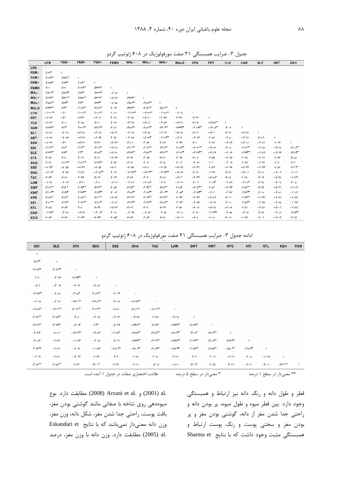|  | جدول ۳- ضرایب همبستگی ۳۱ صفت مورفولوژیک در ۶۰۸ ژنوتیپ گردو |  |
|--|------------------------------------------------------------|--|
|  |                                                            |  |

|                  | <b>LFB</b>           | FEM <sub>1</sub>     | FEM <sub>r</sub>        | <b>FEMr</b>         | <b>FEMD</b>      | MAL <sup>1</sup>      | MAL <sub>r</sub>      | MAL <sub>r</sub> | <b>MALD</b>        | <b>CTN</b>         | <b>FRT</b>    | <b>YLD</b> | <b>HAR</b> | <b>BLT</b> | ANT              | <b>SSH</b>  |
|------------------|----------------------|----------------------|-------------------------|---------------------|------------------|-----------------------|-----------------------|------------------|--------------------|--------------------|---------------|------------|------------|------------|------------------|-------------|
| <b>LFB</b>       |                      |                      |                         |                     |                  |                       |                       |                  |                    |                    |               |            |            |            |                  |             |
| FEM <sub>1</sub> | $JW^*$               | $\mathbf{I}$         |                         |                     |                  |                       |                       |                  |                    |                    |               |            |            |            |                  |             |
| FEM <sub>r</sub> | $4$ vo $t^*$         | $-1901**$            | ,                       |                     |                  |                       |                       |                  |                    |                    |               |            |            |            |                  |             |
| FEM <sub>r</sub> | $Jrr\sigma^*$        | d                    | $-190**$                | ,                   |                  |                       |                       |                  |                    |                    |               |            |            |            |                  |             |
| <b>FEMD</b>      | $\cdot$ f + 1        | $-1-1$               | $410**$                 | Jrrr                | ,                |                       |                       |                  |                    |                    |               |            |            |            |                  |             |
| MAL <sub>1</sub> | $J1r.*$              | $J$ riran            | $Jrr^{**}$              | $Jrrt**$            | $-1.40$          | ,                     |                       |                  |                    |                    |               |            |            |            |                  |             |
| MAL <sub>r</sub> | $1714**$             | $4$ ro $.***$        | $4$ ro $v^{\star\star}$ | $J + 144$           | $-1.80$          | 1471                  | ٠                     |                  |                    |                    |               |            |            |            |                  |             |
| MAL <sub>r</sub> | $110A**$             | $4rA**$              | 15                      | $4rd**$             | $-1.00$          | 1155                  | $411x^{**}$           | ,                |                    |                    |               |            |            |            |                  |             |
| <b>MALD</b>      | هموموم ل             | 11                   | $div^*$                 | $-110A$             | ۱۰۰۳             | $Jrrr^{**}$           | $414.***$             | $-10A1**$        | f                  |                    |               |            |            |            |                  |             |
| CTN              | $-$ ./ rp.**         | $-4r$                | $4 + 16$                | $41.41***$          | 4.11             | $-1514$               | $-1555$               | **ق0* ا. -       | $-4.46$            | $^{\rm \ast}$      |               |            |            |            |                  |             |
| <b>FRT</b>       | $-1.14$              | $-11r$               | $-1111$                 | $-11.6$             | 4.14             | $-1.06$               | $-4.61$               | $-1 - r v$       | 4.5 <sub>V</sub>   | 4.55               | ,             |            |            |            |                  |             |
| <b>YLD</b>       | $-4.5V$              | 4                    | 4.10                    | 4.11                | 4.88             | $-4.5$                | $-1.68$               | $-1.0r$          | $-1.91$            | 4.1V               | $-1111^{-4}$  |            |            |            |                  |             |
| <b>HAR</b>       | $4\pi\sigma^*$       | $dx^*$               | 41.1                    | 111 <sup>4</sup>    | 4.01             | $dov^{\star\star}$    | $-1011**$             | 17.7             | $Jrrt*$            | $-110^{-4}$        | تتعفيمة وادمة | 1.19       | ,          |            |                  |             |
| <b>BLT</b>       | $-4.67$              | $-1.71$              | $-1.76$                 | - -/ - 77           | $-1.07$          | $-1.10$               | $-1 - r_{2}$          | $-1.17$          | $-1 - r_{2}$       | 1.59               | $-4.0$        | 4.5        | $-1 - r_1$ | ,          |                  |             |
| <b>ANT</b>       | $-4.84$              | $-4.0r$              | $-1.71$                 | $-1 - 178$          | 4.11             | $-1.70$               | $-1.91$               | $-1111^{+1}$     | $-1.9$             | $-1.1r$            | 4.01          | $-4.1$     | $-1.7v$    | 4.17       |                  |             |
| <b>SSH</b>       | $-1.5V$              | ۰۰/۲                 | $-111V$                 | $J_{1}$ rr          | $-1-rv$          | 4.67                  | 4.0 <sub>V</sub>      | 1.04             | ۱۰۶۳.              | $4 \cdot \epsilon$ | $4 \cdot w$   | -4.67      | - 4 - 14   | $-1.61$    | 4.1r             | ٠           |
| SDI              | $J$ rır $*$          | dH                   | $4r**$                  | 111944              | $-1.09$          | $J$ rit <sup>an</sup> | $471A$ **             | $4rrd**$         | $1101 -$           | $-115.$ **         | $-1.09$       | 4.11       | $Jrr.**$   | $-1.50$    | $-1 - r_0$       | $411A^{**}$ |
| <b>SLE</b>       | 1rr                  | 4r <sup>o</sup>      | $4r^*$                  | 1112                | $-1.14$          | $4rr\sigma$           | $4$ res <sup>**</sup> | $JTTI***$        | $J \cdot v^*$      | $-110^{44}$        | $-1.79$       | $-1.11$    | $Jrrf**$   | $-4.67$    | $-1.5$           | $4r1f$ **   |
| <b>STX</b>       | 4.40                 | 4.4                  | 4.71                    | 4.71                | $-1.1$           | 1.7r                  | 4.70                  | 4.41             | 4.79               | $4 \cdot 6$        | 4.00          | $-1.70$    | J • JA     | $-1.1v$    | 4.1 <sub>V</sub> | 4.11        |
| <b>SCO</b>       | $-1 - 91$            | $4111$ <sup>**</sup> | $11r^{**}$              | $11rd**$            | 4.1 <sub>V</sub> | 4.14                  | $-1.11$               | 4.1              | 4.17               | $-1.1$             | $-1-1$        | $-1 - r$   | 4.17       | $-1.1$     | 4.5              | 4.5         |
| <b>SSE</b>       | $-4.7r$              | $-1.50$              | - 4 - 14                | $-1.01$             | $-4.1$           | $-1.01$               | $-4 - 2$              | $-4.75$          | $-1.10$            | $-1 - r$           | 4.1           | $-4.14$    | $-1$ .rr   | $-1.58$    | 4.54             | 4117''      |
| <b>SHA</b>       | $-11.4$              | $-410$               | 4155                    | $-1115**$           | 4.1V             | $-4153**$             | $-4117^{44}$          | $-11$ rra $*$    | $\cdot$ $\cdot$ rv | 4.5V               | 4.17          | 4.54       | $-11.1$    | 1.51       | $-1 - 9$         | $-4.11$     |
| <b>TAZ</b>       | 1.4r                 | 4.84                 | 1.44                    | $J \cdot \nu$       | 4.17             | 1.09                  | 4.7                   | 4.11             | $-1-r$             | $-1.55$            | $-1.4t^*$     | 4.11       | 4.46       | 4.14       | $-1.71$          | $-1.07$     |
| LAM              | $-1.96$              | $-1.1$               | -4111                   | $-1.4$              | $-1.17$          | $-1.41$               | $-1.10*$              | $-1 - 9$         | $-1.0v$            | 4.1                | 1.11          | $-4.5r$    | $-1.4v$    | 4.76       | $-1.10$          | 4.11        |
| <b>SWT</b>       | $41.1$ <sup>**</sup> | $110*$               | $111^{**}$              | $111**$             | 4.10             | $1170**$              | 4111                  | $110**$          | ۰٬۰۸۲              | $-115$ part        | 4.51          | $-4.7r$    | $4142**$   | 4.70       | ۱۰/۰۳۱           | $-4.00$     |
| <b>KWT</b>       | $J + V$              | هود و ل              | $Jrrr**$                | 11444               | 1.1              | $1142**$              | $41$ $11$             | $J1Vj**$         | هه. ا              | $-11 + 4 + 4$      | $-1 - r$      | $-1-rv$    | $Jrrv**$   | 4.14       | $-1.01$          | $-1.1r$     |
| <b>KPE</b>       | $-110A**$            | 1107                 | $-1105**$               | $115$ <sup>**</sup> | $-1.0v$          | 1115                  | 4111                  | 410 <sup>4</sup> | 4.1r               | $-1.55$            | $-1.1$        | $-1.11$    | $1170**$   | $-1 - rv$  | $-1.07$          | $-1.0v$     |
| KFI              | $110$ **             | 1177                 | 4155                    | $115$ <sup>**</sup> | $-1.67$          | $1114**$              | $411**$               | $-1160**$        | ۱۰۹۴               | $-1.09$            | $-1.71$       | 4.14       | $115A$ **  | $-1.70$    | $-1.06$          | $-4.7r$     |
| <b>KFL</b>       | 4.10                 | 4.0r                 | 4.6                     | 1.14                | $-1.05$          | 4.5 <sub>r</sub>      | 4.4V                  | 4.07             | ۱۰۵۱،              | ، ان               | $-1.71$       | $-1.11$    | 4.11       | $-1.16$    | $-1 - 7$         | $-1.50$     |
| <b>KSH</b>       | $-4$ irra            | $-1154$              | $-411r$                 | $-11.9$             | 4.14             | $-1.77$               | $-1.0r$               | $-1.05$          | $-1.14$            | 4.70               | $411$ $x^{*}$ | $-1.00$    | $-1.40$    | $4·$ or    | $-1.14$          | 4.1         |
| <b>KCO</b>       | 4.4r                 | 4.7 <sub>V</sub>     | 1.41                    | هوداء               | 4.40             | 4.0r                  | 4.07                  | 4.01             | $\cdot$ decree     | $-1.6$             | $4 \cdot 1$   | 4.1        | 4.17       | 4.1        | $-1.1r$          | 4.70        |

ادامه جدول ۳- ضرایب همبستگی ۳۱ صفت مورفولوژیک در ۶۰۸ ژنوتیپ گردو

| SDI                 | <b>SLE</b>               | <b>STX</b>              | sco        | SSE              | SHA                                             | ۰<br><b>TAZ</b> | LAM         | SWT                     | <b>KWT</b>    | KPE             | KFI         | <b>KFL</b>               | KSH      | KCO          |
|---------------------|--------------------------|-------------------------|------------|------------------|-------------------------------------------------|-----------------|-------------|-------------------------|---------------|-----------------|-------------|--------------------------|----------|--------------|
| ,                   |                          |                         |            |                  |                                                 |                 |             |                         |               |                 |             |                          |          |              |
| $J/f^{\star\star}$  | $\mathbf{1}$             |                         |            |                  |                                                 |                 |             |                         |               |                 |             |                          |          |              |
| $4r10**$            | $4111*$                  |                         |            |                  |                                                 |                 |             |                         |               |                 |             |                          |          |              |
| 4.4                 | $-1.11$                  | $J$ <i>svr</i> a        | J.         |                  |                                                 |                 |             |                         |               |                 |             |                          |          |              |
| $-1.7$              | $-l \cdot l$             | $-4.7V$                 | $-4.01$    | $\mathbf{I}$     |                                                 |                 |             |                         |               |                 |             |                          |          |              |
| $-4115$             | $-i \cdot \varepsilon v$ | 4.15                    | $410**$    | $-11.7$          | $\,$                                            |                 |             |                         |               |                 |             |                          |          |              |
| $-1.10$             | $-J \cdot 1V$            | $-4$ ri $^{\star\star}$ | $-11714**$ | $-i \cdot 14$    | $-411v**$                                       | $\,$            |             |                         |               |                 |             |                          |          |              |
| $-1100**$           | $-i$ / $r.**$            | $4171***$               | $41rr**$   | 1.51             | 4i                                              | $-111y**$       | $\,$        |                         |               |                 |             |                          |          |              |
| $\cdot$ / $\cdot$   | $-1120**$                | 4.0                     | $-1.10$    | $-1 \cdot rr$    | $-J \cdot \sigma v$                             | 4.54            | $-1.75$     | $\mathbf{r}$            |               |                 |             |                          |          |              |
| $4r \cdot r^{**}$   | $1119*$                  | $-4.19$                 | $17**$     | $-4.75$          | $-4$ rvan                                       | 1.4v            | $-I$ rorn   | 414                     | $\mathbf{I}$  |                 |             |                          |          |              |
| 4.11                | 4.0 <sub>V</sub>         | $-4111$ **              | $-4.67$    | $-i \cdot A v^*$ | $-I \, \epsilon \, \sigma \sigma^{\star \star}$ | $4154**$        | $-4i$ .4**  | 41.5                    | $1011**$      |                 |             |                          |          |              |
| $4.40*$             | 4.17                     | $-J.47$                 | $-1.10$    | $-1.71$          | $-4$ rry**                                      | $1171***$       | $-410**$    | 4155                    | $1510**$      | 475             | $\sqrt{2}$  |                          |          |              |
| 4171                | 4.17                     | $-4.7V$                 | $-1.90*$   | $-1101**$        | $-4r$ . $r^*$                                   | $1157**$        | $-4 + i$    | $4172**$                | $-1$ iro $**$ | $-105 \cdot$ ** | 475         | $\,$                     |          |              |
| $-I \cdot rV$       | 4.01                     | $-1.17$                 | 4.77       | 4.5              | 4.05                                            | 4.16            | $4 \cdot r$ | 4.7                     | 4.1           | $-1 - r r$      | $4 \cdot 5$ | $-i \cdot r_0$           | ,        |              |
| $115$ <sup>**</sup> | 4111                     | 4.4                     | $11.1*$    | $4-rv$           | $-1.11$                                         | $-1 - 1t$       | $-J+1$      | 11.7                    | 4.70          | 4.55            | 4.51        | $\frac{1}{2}$            | $J$ risk | $\mathbf{I}$ |
|                     |                          |                         |            |                  | علامت اختصاری صفات در جدول ١ آمده است.          |                 |             | * معنىدار در سطح ۵ درصد |               |                 |             | ** معنىدار در سطح ١ درصد |          |              |

\*\* معنىدار در سطح ۱ درصد

.al. (2001) و Arzani et al. (2008) مطابقت دارد. نوع میوهدهی روی شاخه با صفاتی مانند گوشتی بودن مغز، بافت پوست، راحتی جدا شدن مغز، شکل دانه، وزن مغز، وزن دانه معنى دار نمى باشد كه با نتايج Eskandari et .al (2005) مطابقت دارد. وزن دانه با وزن مغز، درصد

قطر و طول دانه و رنگ دانه نیز ارتباط و همبستگی وجود دارد. بين قطر ميوه و طول ميوه، پر بودن دانه و راحتی جدا شدن مغز از دانه، گوشتی بودن مغز و پر بودن مغز و سختی پوست و رنگ پوست ارتباط و همبستگی مثبت وجود داشت که با نتایج Sharma et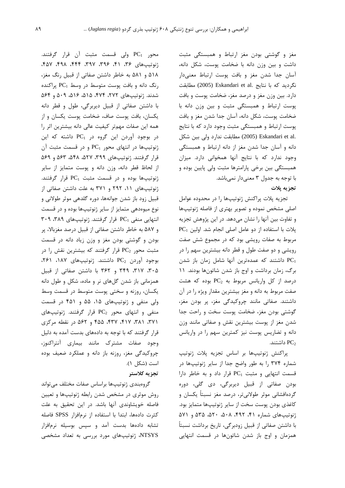مغز و گوشتی بودن مغز ارتباط و همبستگی مثبت داشت و بین وزن دانه با ضخامت پوست، شکل دانه، آسان جدا شدن مغز و بافت یوست ارتباط معنی دار نگرديد كه با نتايج .Eskandari et al و2005) مطابقت دارد. بین وزن مغز و درصد مغز، ضخامت پوست و بافت پوست ارتباط و همبستگی مثبت و بین وزن دانه با ضخامت یوست، شکل دانه، آسان جدا شدن مغز و بافت پوست ارتباط و همبستگی مثبت وجود دارد که با نتایج .eskandari et al (2005) مطابقت ندارد ولي بين شكل دانه و آسان جدا شدن مغز از دانه ارتباط و همبستگی وجود ندارد که با نتایج آنها همخوانی دارد. میزان همبستگی بین برخی پارامترها مثبت ولی پایین بوده و با توجه به جدول ٣ معنىدار نمىباشد. تجزيه يلات

تجزيه پلات پراكنش ژنوتيپها را در محدوده عوامل اصلی مشخص نموده و تصویر بهتری از فاصله ژنوتیپها و تفاوت بين آنها را نشان مي دهد. در اين پژوهش تجزيه PC<sub>1</sub> پلات با استفاده از دو عامل اصلی انجام شد. اولین مربوط به صفات رویشی بود که در مجموع شش صفت رویشی و دو صفت طول و قطر دانه بیشترین سهم را در داشتند که عمدهترین آنها شامل زمان باز شدن PC1 برگ، زمان برداشت و اوج باز شدن شاتونها بودند. ١١  $PC_2$  درصد از کل واریانس مربوط به PC<sub>2</sub> بوده که هشت صفت مربوط به دانه و مغز بیشترین مقدار ویژه را در آن داشتند. صفاتی مانند چروکیدگی مغز، پر بودن مغز، گوشتی بودن مغز، ضخامت پوست سخت و راحت جدا شدن مغز از پوست بیشترین نقش و صفاتی مانند وزن دانه و تضاریس یوست نیز کمترین سهم را در واریانس داشتند. PC $_2$ 

يراكنش ژنوتيپها بر اساس تجزيه پلات ژنوتيپ شماره ۳۷۴ را به طور واضح جدا از سایر ژنوتیپها در قسمت انتهایی و مثبت PC1 قرار داد و به خاطر دارا بودن صفاتي از قبيل ديربرگي، دي گلي، دوره گردهافشانی موثر طولانیتر، درصد مغز نسبتاً یکسان و كاغذى بودن پوست سخت از ساير ژنوتيپها متمايز بود. ژنوتیپهای شماره ۴۱، ۴۹۲، ۵۰۸، ۵۲۰، ۵۲۵ و ۵۷۱ با داشتن صفاتی از قبیل زودبرگی، تاریخ برداشت نسبتاً همزمان و اوج باز شدن شاتونها در قسمت انتهایی

محور PC1 ولي قسمت مثبت آن قرار گرفتند. ژنوتیپهای ۳۶، ۴۱، ۳۹۶، ۳۹۷، ۴۴۴، ۴۹۸، ۴۵۷، ۵۱۸ و ۵۸۱ به خاطر داشتن صفاتی از قبیل رنگ مغز، رنگ دانه و بافت پوست متوسط در وسط PC1 پراکنده شدند. ژنوتیپهای ۲۷۲، ۴۷۴، ۵۱۵، ۵۱۶، ۵۰۹، ۵۶۴ با داشتن صفاتی از قبیل دیربرگی، طول و قطر دانه یکسان، بافت یوست صاف، ضخامت یوست یکسان و از همه این صفات مهمتر کیفیت عالی دانه بیشترین اثر را در بوجود آوردن این گروه در PC1 داشته که این ژنوتیپها در انتهای محور  $PC_1$  و در قسمت مثبت آن قرار گرفتند. ژنوتیپهای ۳۹۹، ۵۲۷، ۵۴۸، ۵۶۳ و ۵۶۹ از لحاظ قطر دانه، وزن دانه و یوست متمایز از سایر ژنوتیپها بوده و در قسمت مثبت PC1 قرار گرفتند. ژنوتیپهای ١١، ٢٩٢ و ٣٧١ به علت داشتن صفاتی از قبیل زود باز شدن جوانهها، دوره گلدهی موثر طولانی و نوع میوهدهی متمایز از سایر ژنوتیپها بوده و در قسمت ۳۰۹ ، ۳۸۹ توار گرفتند. ژنوتیپهای ۳۸۹، ۳۰۹ و ۵۸۷ به خاطر داشتن صفاتی از قبیل درصد مغزبالا، پر بودن و گوشتی بودن مغز و وزن زیاد دانه در قسمت مثبت محور PC2 قرار گرفتند که بیشترین نقش را در بوجود آوردن PC2 داشتند. ژنوتیپهای ۱۸۷، ۲۶۱، ۳۰۵، ۳۱۷، ۳۴۹ و ۳۶۲ با داشتن صفاتی از قبیل همزمانی باز شدن گلهای نر و ماده، شکل و طول دانه یکسان، روزنه و سختی یوست متوسط در قسمت وسط ولی منفی و ژنوتیپهای ۱۵، ۵۵ و ۴۵۱ در قسمت منفی و انتهای محور PC2 قرار گرفتند. ژنوتیپهای ۳۷۱، ۳۸۱، ۴۱۷، ۴۳۷، ۴۵۵ و ۵۶۲ در نقطه مرکزی قرار گرفتند که با توجه به دادههای بدست آمده به دلیل وجود صفات مشترك مانند بيمارى أنتراكنوز، چروکیدگی مغز، روزنه باز دانه و عملکرد ضعیف بوده است (شكل ١).

### تجزيه كلاستر

گروهبندی ژنوتیپها براساس صفات مختلف می تواند روش موثری در مشخص شدن رابطه ژنوتیپها و تعیین فاصله خویشاوندی آنها باشد. در این تحقیق به علت كثرت دادهها، ابتدا با استفاده از نرمافزار SPSS فاصله تشابه دادهها بدست آمد و سیس بوسیله نرمافزار NTSYS، ژنوتیپهای مورد بررسی به تعداد مشخصی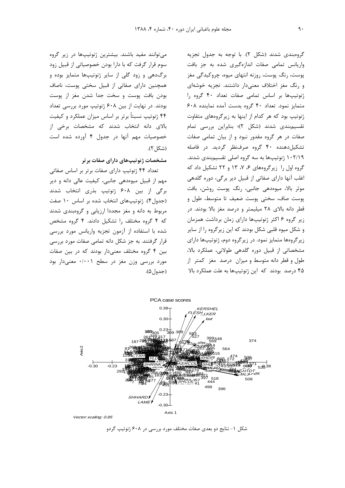گروهبندی شدند (شکل ۲). با توجه به جدول تجزیه واریانس تمامی صفات اندازهگیری شده به جز بافت یوست، رنگ یوست، روزنه انتهای میوه، چروکیدگی مغز و رنگ مغز اختلاف معنى دار داشتند. تجزيه خوشهاى ژنوتیپها بر اساس تمامی صفات تعداد ۴۰ گروه را متمایز نمود. تعداد ۴۰ گروه بدست آمده نماینده ۶۰۸ ژنوتیپ بود که هر کدام از اینها به زیرگروههای متفاوت تقسیمبندی شدند (شکل ۲)؛ بنابراین بررسی تمام صفات در هر گروه مقدور نبود و از بیان تمامی صفات تشکیل دهنده ۴۰ گروه صرف نظر گردید. در فاصله ۱۰۲/۱۹ ژنوتیپها به سه گروه اصلی تقسیمبندی شدند. گروه اول را زیرگروههای ۶، ۷، ۱۳ و ۲۲ تشکیل داد که اغلب آنها دارای صفاتی از قبیل دیر برگی، دوره گلدهی موثر بالا، میوەدهی جانبی، رنگ یوست روشن، بافت پوست صاف، سختی پوست ضعیف تا متوسط، طول و قطر دانه بالای ۲۸ میلیمتر و درصد مغز بالا بودند. در زیر گروه ۶ اکثر ژنوتیپها دارای زمان برداشت همزمان و شکل میوه قلبی شکل بودند که این زیرگروه را از سایر زیرگروهها متمایز نمود. در زیرگروه دوم، ژنوتیپها دارای مشخصاتی از قبیل دوره گلدهی طولانی، عملکرد بالا، طول و قطر دانه متوسط و میزان درصد مغز کمتر از ۴۵ درصد بودند که این ژنوتیپها به علت عملکرد بالا

می توانند مفید باشند. بیشترین ژنوتیپها در زیر گروه سوم قرار گرفت که با دارا بودن خصوصیاتی از قبیل زود برگ دهی و زود گلی از سایر ژنوتیپها متمایز بوده و همچنین دارای صفاتی از قبیل سختی پوست، ناصاف بودن بافت یوست و سخت جدا شدن مغز از یوست بودند. در نهایت از بین ۶۰۸ ژنوتیپ مورد بررسی تعداد ۴۴ ژنوتیپ نسبتاً برتر بر اساس میزان عملکرد و کیفیت بالای دانه انتخاب شدند که مشخصات برخی از خصوصیات مهم آنها در جدول ۴ آورده شده است (شكل ٢).

مشخصات ژنوتیپهای دارای صفات بر تر

تعداد ۴۴ ژنوتیپ دارای صفات برتر بر اساس صفاتی مهم از قبیل میوهدهی جانبی، کیفیت عالی دانه و دیر برگی از بین ۶۰۸ ژنوتیپ بذری انتخاب شدند (جدول۴). ژنوتیپهای انتخاب شده بر اساس ۱۰ صفت مربوط به دانه و مغز مجددا ارزیابی و گروهبندی شدند که ۴ گروه مختلف را تشکیل دادند. ۴ گروه مشخص شده با استفاده از آزمون تجزیه واریانس مورد بررسی قرار گرفتند. به جز شکل دانه تمامی صفات مورد بررسی بین ۴ گروه مختلف معنیدار بودند که در بین صفات مورد بررسی وزن مغز در سطح ۰/۰۰۱ معنیدار بود  $(\Delta, |_{\Delta} )$ 



Vector scaling: 0.85

شکل ۱- نتایج دو بعدی صفات مختلف مورد بررسی در ۶۰۸ ژنوتیپ گردو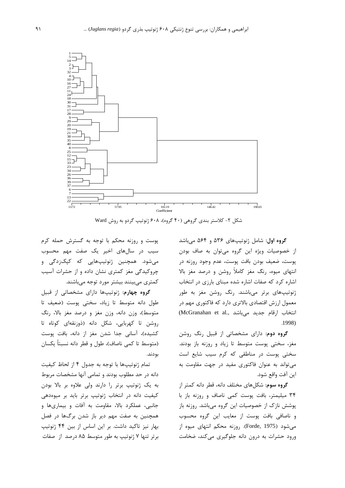

شکل ۲- کلاستر بندی گروهی (۴۰ گروه)، ۶۰۸ ژنوتیپ گردو به روش Ward

گروه اول: شامل ژنوتیپهای ۵۳۶ و ۵۶۴ میباشد از خصوصیات ویژه این گروه می توان به صاف بودن پوست، ضعیف بودن بافت پوست، عدم وجود روزنه در انتهای میوه، رنگ مغز کاملاً روشن و درصد مغز بالا اشاره کرد که صفات اشاره شده مبنای بارزی در انتخاب ژنوتیپهای برتر میباشند. رنگ روشن مغز به طور معمول ارزش اقتصادی بالاتری دارد که فاکتوری مهم در انتخاب ارقام جدید میباشد .(McGranahan et al  $.1998$ 

گروه دوم: دارای مشخصاتی از قبیل رنگ روشن مغز، سختی پوست متوسط تا زیاد و روزنه باز بودند. سختی پوست در مناطقی که کرم سیب شایع است می تواند به عنوان فاکتوری مفید در جهت مقاومت به اين آفت واقع شود.

گروه سوم: شکلهای مختلف دانه، قطر دانه کمتر از ۳۴ میلیمتر، بافت پوست کمی ناصاف و روزنه باز با پوشش نازک از خصوصیات این گروه میباشد. روزنه باز و ناصافی بافت پوست از معایب این گروه محسوب میشود (Forde, 1975). روزنه محکم انتهای میوه از ورود حشرات به درون دانه جلوگیری میکند، ضخامت

پوست و روزنه محکم با توجه به گسترش حمله کرم سیب در سالهای اخیر یک صفت مهم محسوب میشود. همچنین ژنوتیپهایی که کپکزدگی و چروکیدگی مغز کمتری نشان داده و از حشرات آسیب کمتری می,بینند بیشتر مورد توجه می,باشند.

گروه چهارم: ژنوتییها دارای مشخصاتی از قبیل طول دانه متوسط تا زياد، سختى پوست (ضعيف تا متوسط)، وزن دانه، وزن مغز و درصد مغز بالا، رنگ روشن تا كهربايي، شكل دانه (ذوزنقهاي كوتاه تا كشيده)، آساني جدا شدن مغز از دانه، بافت پوست (متوسط تا كمى ناصاف)، طول و قطر دانه نسبتاً يكسان بودند.

تمام ژنوتیپها با توجه به جدول ۴ از لحاظ کیفیت دانه در حد مطلوب بودند و تمامی آنها مشخصات مربوط به یک ژنوتیپ برتر را دارند ولی علاوه بر بالا بودن کیفیت دانه در انتخاب ژنوتیپ برتر باید بر میوهدهی جانبی، عملکرد بالا، مقاومت به آفات و بیماریها و همچنین به صفت مهم دیر باز شدن برگها در فصل بهار نیز تاکید داشت. بر این اساس از بین ۴۴ ژنوتیپ برتر تنها ۷ ژنوتیپ به طور متوسط ۸۵ درصد از صفات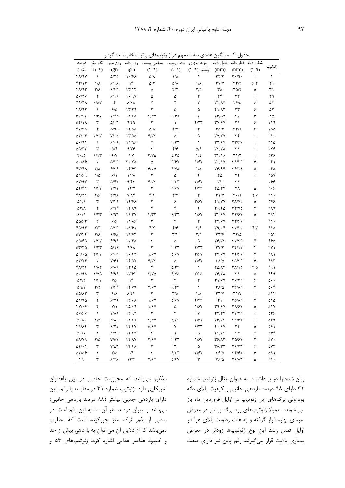| ۰.<br>× |  |  |
|---------|--|--|
|---------|--|--|

|                                        |                         | ب سده نردو                        |                         | ،های بر نر                      |                            | میاندین عددی صفات مهم در زنونیپ |                                             | $-1$<br>جدوں                            |                         |            |
|----------------------------------------|-------------------------|-----------------------------------|-------------------------|---------------------------------|----------------------------|---------------------------------|---------------------------------------------|-----------------------------------------|-------------------------|------------|
| در صد                                  |                         | وزن مغز رنگ مغز                   | وزن دانه                | سختى پوست                       |                            | روزنه انتهاى بافت پوست          | طول دانه                                    |                                         | شكل دانه قطر دانه       | زنوتيپ     |
| مغز ٪                                  | $(1-f)$                 | (gr)                              | (gr)                    | $(1 - 9)$                       | $(1-\ell)$                 | پوست (۹-۱)                      | (mm)                                        | (mm)                                    | $(1 - 9)$               |            |
| $f\Lambda/9V$                          | $\lambda$               | $\Delta$ /٢٢                      | 1.199                   | ۵/۸                             | $1/\lambda$                | $\lambda$                       | $\tau\tau/\tau$                             | $\mathbf{r} \cdot \mathbf{r} \cdot$     | $\lambda$               | ١          |
| 41/14                                  | $1/\lambda$             | 9/11                              | ۱۴                      | $\Delta/\mathbf{f}$             | $\Delta/\Lambda$           | $1/\lambda$                     | $\Upsilon$                                  | $\tau\tau/\tau$                         | 9/5                     | ۲۱         |
| 41/93                                  | $\mathsf{r}/\mathsf{v}$ | 5/57                              | 17/17                   | ۵                               | $f/\tau$                   | Y/Y                             | ٣٨                                          | ۳۵/۲                                    | ۵                       | ۳۱         |
| 9718                                   | ٢                       | 9/1V                              | 1.4V                    | ۵                               | ۵                          | $\mathbf{\breve{r}}$            | ٣۴                                          | $\tau\tau$                              | $\lambda$               | ۴۹         |
| 49/41                                  | $1/\lambda$ ۳           | ۴                                 | $\lambda/\cdot \lambda$ | ۴                               | ۴                          | $\mathbf{\breve{r}}$            | $\tau\tau/\lambda\tau$                      | ٢۶/۵                                    | ۶                       | ۵۲         |
| $f\Lambda/97$                          | $\lambda$               | $\mathcal{S}/\Delta$              | 1779                    | ٣                               | $\Delta$                   | ۵                               | <b>F1/17</b>                                | ٣٣                                      | ۶                       | ۵٣         |
| 557/77                                 | 1/۶۷                    | $Y/\mathfrak{k}$                  | 11/YA                   | $\tau$ /۶ $\gamma$              | $\mathbf{y}/\mathbf{y}$    | ٣                               | <b>٣۶/۵٧</b>                                | ٣٣                                      | ۶                       | ۹۵         |
| ۵۴/۱۸                                  | ٣                       | $\Delta/\cdot\tau$                | 9/79                    | $\mathbf{\breve{r}}$            | $\lambda$                  | $f/\tau\tau$                    | <b>٣٧/۶٧</b>                                | ۳۱                                      | ۶                       | ۱۱۹        |
| <b>FV/۳۸</b>                           | ۴                       | ۵/۹۶                              | $17/\Delta\Lambda$      | $\Delta/\Lambda$                | Y/Y                        | ٣                               | $\Upsilon \Lambda/\Upsilon$                 | $\mathbf{r}\mathbf{r}$                  | ۶                       | ۱۵۵        |
| $\Delta \Upsilon / \cdot \Upsilon$     | Y/YY                    | $Y/\cdot \Delta$                  | 17/20                   | $f/\tau\tau$                    | $\Delta$                   | ۵                               | $\Upsilon V/\Upsilon V$                     | ٣۴                                      | $\lambda$               | ۲۱۰        |
| 0.491                                  | $\lambda$               | 9/19                              | 11/98                   | ٧                               | $f/\tau\tau$               | $\lambda$                       | <b>٣٣/۶٧</b>                                | <b>٣٣/۶٧</b>                            | $\lambda$               | ۲۱۵        |
| $\Delta\Delta/\Upsilon\Upsilon$        | ٣                       | $\Delta/\mathfrak{F}$             | 9/19                    | ٣                               | $f/\mathcal{F}$            | $\Delta/\mathring{\Upsilon}$    | $\tau\tau/\tau\lambda$                      | $\uparrow\uparrow$                      | $\lambda$               | ۲۲۶        |
| $f\Lambda/\Delta$                      | 1/11                    | Y/Y                               | $\gamma/\gamma$         | $\Upsilon/\Upsilon\Delta$       | $\Delta/\Upsilon\Delta$    | $1/\Delta$                      | $\uparrow\uparrow/\uparrow\uparrow$         | $\Upsilon\setminus/\Upsilon$            | ١                       | ۲۳۶        |
| $\Delta \cdot / \Lambda$ ۶             | $\mathbf Y$             | $\Delta/\Upsilon\Upsilon$         | $Y \cdot / Y \wedge$    | $\Delta$                        | $\tau$ /۶۷                 | 1/۶۷                            | $\mathbf{r} \cdot / \mathbf{v}$             | $\Upsilon \Lambda / \Upsilon \Upsilon$  | ۶                       | ۲۴۱        |
| 47/47                                  | $\mathbf{r}/\mathbf{r}$ | ۶۱۳۶                              | 14/۶۳                   | 9/70                            | $Y/V\Delta$                | $1/\Delta$                      | 38/94                                       | ۳۶/۱۹                                   | ۵                       | ۲۴۵        |
| A1/89                                  | $1/\Delta$              | 9/1                               | $11/\lambda$            | ٣                               | $\Delta$                   | $\mathbf Y$                     | $\mathbf{r}\mathbf{v}$                      | $\mathbf{r}$                            | $\lambda$               | ٢۵٧        |
| <b>AY/9Y</b>                           | ٣                       | <b>A/FV</b>                       | 9/57                    | F/TT                            | Y/YY                       | $\mathbf{y}/\mathbf{y}$         | $\mathbf{r}$                                | $\uparrow\uparrow$                      | $\lambda$               | ۲۶۶        |
| $\Delta Y/\mathfrak{F}$                | 1/۶۷                    | Y/Y                               | 1 f/Y                   | ٣                               | ۳/۶۷                       | Y/YY                            | $\mathbf{Y} \Delta / \mathbf{Y} \mathbf{Y}$ | ٣٨                                      | ۵                       | ۳۰۶        |
| 41/11                                  | ۲۱۶                     | $Y/Y\Lambda$                      | $Y/\Lambda f$           | F/Y                             | $Y/\Upsilon$               | $\mathbf r$                     | $Y \setminus V$                             | $\mathbf{r} \cdot / \mathbf{v}$         | ۲۱۶                     | ٣١٠        |
| $\Delta$ \ / \                         | ٣                       | $Y/\mathfrak{f}\mathfrak{q}$      | 14/99                   | ٣                               | ۶                          | $\mathbf{y}/\mathbf{y}$         | F1/YY                                       | <b>٣٨/٧۴</b>                            | ۵                       | ۳۶۶        |
| $\Delta \Upsilon/\Lambda$              | ٢                       | $9/9$ ۴                           | $17/\lambda$ 9          | ۴                               | $\mathbf{\hat{r}}$         | $\mathbf Y$                     | F.78                                        | $\tau \tau / \nu \Delta$                | ۴                       | ۳۸۹        |
| 9.19                                   | $1/\tau\tau$            | 5/97                              | 11/TV                   | $f/\tau\tau$                    | $\mathcal{F}/\mathfrak{r}$ | 1/FV                            | <b>٣۴/۶٧</b>                                | $\tau\tau$ /۶۷                          | ۵                       | ٣٩۴        |
| 55164                                  | $\mathbf{\breve{r}}$    | ۶۱۶                               | 11/16                   | $\mathbf{\breve{r}}$            | $\mathbf{\breve{r}}$       | $\mathbf{\breve{r}}$            | <b>٣٣/۶٧</b>                                | <b>٣٣/۶٧</b>                            | $\lambda$               | $f \wedge$ |
| 40/94                                  | Y/Y                     | $\Delta/\tau\tau$                 | 11/۶1                   | F/Y                             | $f/\mathcal{F}$            | $Y/\mathcal{F}$                 | $\uparrow \uparrow / \cdot \uparrow$        | $\Upsilon \Upsilon / \Upsilon \Upsilon$ | ۴/۳                     | ۴۱۸        |
| ۵۷/۴۴                                  | $Y/\lambda$             | ۶۱۶۸                              | 11/۶۲                   | ٣                               | $\mathbf{Y}/\mathbf{Y}$    | Y/Y                             | $\tau\tau/\epsilon$                         | $\tau\tau/\Delta$                       | $\lambda$               | ۴۵۴        |
| 55165                                  | Y/YY                    | $9/9$ ۴                           | 17/F <sub>A</sub>       | ٣                               | $\Delta$                   | ۵                               | $\mathbf{Y}$ $\mathbf{Y}$                   | $\Upsilon \Upsilon / \Upsilon \Upsilon$ | ۴                       | ۴۶۵        |
| $\Delta \Upsilon / \Upsilon \Delta$    | 1/TT                    | ۵/۱۶                              | 9/8A                    | ٣                               | $f/\tau\tau$               | Y/YY                            | $\Upsilon V/\Upsilon$                       | $\Upsilon\Upsilon/\Upsilon$             | ۴                       | ۴۷۱        |
| $\Delta$ 9/ $\cdot$ $\Delta$           | $\tau$ /۶۷              | 51.5                              | 1.77                    | 1/۶۷                            | $\Delta/\mathcal{F}V$      | $\tau$ /۶ $\gamma$              | <b>٣٣/۶٧</b>                                | <b>٣٢/۶٧</b>                            | ۴                       | ۴۸۱        |
| $\Delta Y/Yf$                          | ٢                       | $Y/\mathcal{F}$ 9                 | 14/07                   | $f/\tau\tau$                    | ۵                          | $\mathbf{y}/\mathbf{y}$         | ۳۸/۵                                        | $\Gamma \Delta/\Gamma \Upsilon$         | ۶                       | ۴۸۳        |
| $f\Lambda/\Upsilon\Upsilon$            | $1/\lambda$ ۳           | 9/1                               | ۱۴/۲۵                   | ۴                               | $\Delta/\Upsilon\Upsilon$  | $\lambda$                       | $T\Delta/\Lambda T$                         | $T\Lambda/\Gamma$                       | $\mathbf{r}/\mathbf{r}$ | ۴۹۱        |
| $\Delta \cdot / 9 \Lambda$             | $1/Y\Delta$             | $9/9$ ۴                           | 1٣/۶٢                   | $Y/Y\Delta$                     | $Y/V\Delta$                | $Y/Y\Delta$                     | <b>٣۶/٢٨</b>                                | ٣٨                                      | ۵                       | ۴۹۹        |
| $\Delta f/\tau$                        | 1/۶٧                    | $Y/\mathcal{F}$                   | $\mathcal{N}$           | $\mathbf{\breve{r}}$            | $\mathbf{\breve{r}}$       | $\mathbf{\breve{r}}$            | 41/67                                       | $\mathbf{Y}$ $\mathbf{Y}$               | ۶                       | ۵۰۰        |
| $\Delta \mathrm{Q}/\mathrm{V}$         | $\mathbf{r}/\mathbf{r}$ | ۷۱۶۴                              | 17/Y9                   | $Y/\mathcal{F}V$                | 9/77                       | $\lambda$                       | ۳۸/۵                                        | <b>TT/17</b>                            | ۴                       | ۵۰۴        |
| $\Delta\Delta/\Lambda\Upsilon$         | ٣                       | $f/\mathcal{F}$                   | $\lambda/\Upsilon f$    | ٣                               | $\mathbf{Y}/\mathbf{Y}$    | $1/\lambda$                     | $\Upsilon\Upsilon/\Upsilon$                 | $Y \setminus V$                         | $\lambda$               | ۵۱۴        |
| ۵۱/۹۵                                  | ٢                       | 9/19                              | 17/4                    | 1/FV                            | <b>A/۶۷</b>                | Y/YY                            | ۴۱                                          | ۳۵/۸۳                                   | ۴                       | ۵۱۵        |
| $fV/\cdot 5$                           | ۴                       | $Y/\lambda$                       | 10/19                   | 1/FV                            | ۵                          | 1/۶۷                            | $\Upsilon \gamma / \gamma \gamma$           | ۳۸/۶۷                                   | ۵                       | ۵۱۷        |
| 94186                                  | ١                       | $V/\Lambda$ ۹                     | 17797                   | ٣                               | ٣                          | ٧                               | $f\Upsilon/\Upsilon\Upsilon$                | $\Upsilon V/\Upsilon \Upsilon$          | ١                       | ۵۳۶        |
| $\mathcal{S}\cdot/\Delta$              | $Y/\mathcal{F}$         | 9/17                              | 11/7V                   | $\mathbf{Y}/\mathbf{Y}$         | $\mathcal{F}/\mathfrak{r}$ | $\tau$ / $\epsilon$             | $\mathbf{Y}$ $\mathbf{Y}$                   | T1/FV                                   | $\lambda$               | ۵۴۹        |
| 41/14                                  | ٣                       | 9/7                               | 17/FV                   | $\Delta/\mathcal{F} \mathrm{V}$ | $\sf V$                    | 9/77                            | 4.18V                                       | ٣٢                                      | ۵                       | ۵۶۱        |
| 9.1                                    | $\lambda$               | <b>A/YY</b>                       | ۱۴/۳۶                   | $\mathbf{\breve{r}}$            | $\lambda$                  | $\Delta$                        | 57/77                                       | ۳۶                                      | ۴                       | ۵۶۴        |
| <b>PY\AQ</b>                           | ۲/۵                     | $\mathsf{Y}/\mathsf{Q}\mathsf{V}$ | 17/AY                   | $\Upsilon/\Upsilon$             | $f/\tau\tau$               | 1/۶۷                            | 38/13                                       | $\Gamma \Delta$ /۶۷                     | ٣                       | ۵٧٠        |
| $\Delta Y/\cdot$ )                     | ٣                       | $Y/\Delta Y$                      | 15/7                    | $\mathbf{\tilde{r}}$            | $\mathbf{\breve{r}}$       | ۵                               | $\Upsilon \Lambda/\Upsilon \Upsilon$        | ۳۶/۳۳                                   | ۶                       | ۵۷۲        |
| $\Delta \Upsilon / \Delta \mathcal{F}$ | $\lambda$               | $\mathsf{V}/\mathsf{Q}$           | $\mathcal{N}$           | ٣                               | $f/\tau\tau$               | $\Upsilon/\Upsilon$             | 49/2                                        | <b>٣۴/۶٧</b>                            | ۶                       | ۵۸۱        |
| ۴۹                                     | ٣                       | $Y V\lambda$                      | 177                     | $\Upsilon/\Upsilon$             | ۵/۶۷                       | $\mathbf r$                     | ۳۶۱۵                                        | 38/13                                   | ۵                       | ۶۱۰        |

حدمل ۴- میلاگ، عدده، صفات مدمرد. ثنوتس های بیتر انتخاب شده گرده

مذکور میباشد که محبوبیت خاصی در بین باغداران آمریکایی دارد. ژنوتیپ شماره ۳۱ در مقایسه با رقم پاین دارای باردهی جانبی بیشتر (۸۸ درصد باردهی جانبی) میباشد و میزان درصد مغز آن مشابه این رقم است. در بعضی از بذور نوک مغز چروکیده است که مطلوب نمیباشد که از دلایل آن می توان به باردهی بیش از حد و کمبود عناصر غذایی اشاره کرد. ژنوتیپهای ۵۳ و

بیان شده را در بر داشتند. به عنوان مثال ژنوتیپ شماره ٣١ دارای ٩٨ درصد باردهی جانبی و کیفیت بالای دانه بود ولی برگهای این ژنوتیپ در اوایل فروردین ماه باز می شوند. معمولا ژنوتیپهای زود برگ بیشتر در معرض سرمای بهاره قرار گرفته و به علت رطوبت بالای هوا در اوایل فصل رشد این نوع ژنوتیپها زودتر در معرض بیماری بلایت قرار میگیرند. رقم پاین نیز دارای صفت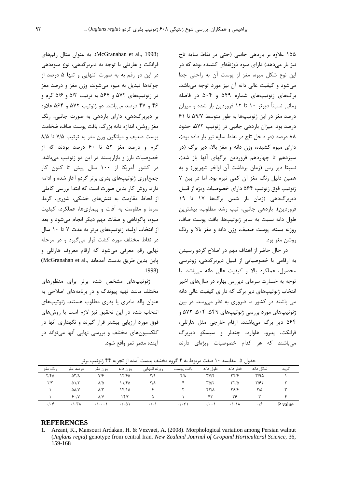۱۵۵ علاوه بر باردهی جانبی (حتی در نقاط سایه تاج نیز بار میدهد) دارای میوه ذوزنقهای کشیده بوده که در این نوع شکل میوه، مغز از یوست آن به راحتی جدا می شود و کیفیت عالی دانه آن نیز مورد توجه میباشد. برگ های ژنوتیپ های شماره ۵۴۹ و ۵۰۴ در فاصله زمانی نسبتاً دیرتر ۱۰ تا ۱۲ فروردین باز شده و میزان درصد مغز در این ژنوتیپها به طور متوسط ۵۹/۷ تا ۶۱ درصد بود. میزان باردهی جانبی در ژنوتیپ ۵۷۲، حدود ٨٨ درصد (در داخل تاج در نقاط سايه نيز بار داده بود)، دارای میوه کشیده، وزن دانه و مغز بالا، دیر برگ (در سیزدهم تا چهاردهم فروردین برگهای آنها باز شد)، نسبتا دیر رس (زمان برداشت آن اواخر شهریور) و به همین دلیل رنگ مغز آن کمی تیره بود. اما در بین ۷ ژنوتیپ فوق ژنوتیپ ۵۶۴ دارای خصوصیات ویژه از قبیل دیربرگدهی (زمان باز شدن برگها ۱۷ تا ۱۹ فروردین)، باردهی جانبی، تیپ رشد مطلوب، بیشترین طول دانه نسبت به سایر ژنوتیپها، بافت یوست صاف، روزنه بسته، پوست ضعیف، وزن دانه و مغز بالا و رنگ روشن مغز بود.

در حال حاضر از اهداف مهم در اصلاح گردو رسیدن به ارقامی با خصوصیاتی از قبیل دیربرگدهی، زودرسی محصول، عملکرد بالا و کیفیت عالی دانه میباشد. با توجه به خسارت سرمای دیررس بهاره در سالهای اخیر انتخاب ژنوتیپهای دیر برگ که دارای کیفیت عالی دانه می باشند در کشور ما ضروری به نظر می رسد. در بین ژنوتیپهای مورد بررسی ژنوتیپهای ۵۴۹، ۵۰۴، ۵۷۲ و ۵۶۴ دیر برگ میباشند. ارقام خارجی مثل هارتلی، فرانکت، پدرو، هاوارد، چندلر و سیسکو دیربرگ می باشند که هر کدام خصوصیات ویژهای دارند

(McGranahan et al., 1998). به عنوان مثال رقمهای فرانکت و هارتلی با توجه به دیربرگدهی، نوع میوهدهی در این دو رقم به به صورت انتهایی و تنها ۵ درصد از جوانهها تبدیل به میوه میشوند، وزن مغز و درصد مغز در ژنوتیپهای ۵۷۲ و ۵۶۴ به ترتیب ۵/۳ و ۵/۶ گرم و ۴۶ و ۴۷ درصد میباشد. دو ژنوتیپ ۵۷۲ و ۵۶۴ علاوه بر ديربرگ دهي، داراي باردهي به صورت جانبي، رنگ مغز روشن، اندازه دانه بزرگ، بافت پوست صاف، ضخامت یوست ضعیف و میانگین وزن مغز به ترتیب ۷/۵ تا ۸/۵ گرم و درصد مغز ۵۲ تا ۶۰ درصد بودند که از خصوصیات بارز و بازاریسند در این دو ژنوتیپ میباشد. در کشور آمریکا از ۱۰۰ سال پیش تا کنون کار جمعآوری ژنوتیپهای بذری برتر گردو آغاز شده و ادامه دارد. روش کار بدین صورت است که ابتدا بررسی کاملی از لحاظ مقاومت به تنشهای خشکی، شوری، گرما، سرما و مقاومت به آفات و بیماریها، عملکرد، کیفیت میوه، پاکوتاهی و صفات مهم دیگر انجام می شود و بعد از انتخاب اولیه، ژنوتیپهای برتر به مدت ۷ تا ۱۰ سال در نقاط مختلف مورد کشت قرار می گیرد و در مرحله نهایی رقم معرفی می شود که ارقام معروف هارتلی و باين بدين طريق بدست آمدهاند ..McGranahan et al  $.1998$ 

ژنوتیپهای مشخص شده برتر برای منظورهای مختلف مانند تهیه پیوندک و در برنامههای اصلاحی به عنوان والد مادري يا يدري مطلوب هستند. ژنوتيپهاي انتخاب شده در این تحقیق نیز لازم است با روشهای فوق مورد ارزیابی بیشتر قرار گیرند و نگهداری آنها در کلکسیونھای مختلف و بررسی نھایی آنھا می تواند در آينده مثمر ثمر واقع شود.

|          |                                       | .                               | .                     |                     | . .<br>---           |                          |                                 | --         |         |
|----------|---------------------------------------|---------------------------------|-----------------------|---------------------|----------------------|--------------------------|---------------------------------|------------|---------|
| , نگ مغز | د, صد مغز                             | وزن مغز                         | وزن دانه              | روزنه انتهايى       | بافت يوست            | طول دانه                 | قط دانه                         | شکل دانه   | گروه    |
| Y/FQ     | $\Delta \Upsilon/\Lambda$             | V/F                             | ۱۲۱۶۵                 | Y/9                 | $f/\lambda$          | $\mathbf{y}(\mathbf{y})$ | 317                             | Y/90       |         |
| Y/Y      | $\Delta$ )/ $\Upsilon$                | $\lambda/\Delta$                | ۱۱/۴۵                 | $Y/\lambda$         |                      | $Y\Delta/Y$              | $\tau\tau/\Delta$               | ۳/۶۲       |         |
|          | $\Delta\lambda/Y$                     | $\lambda/\tilde{\tau}$          | ۱۴/۱۵                 |                     |                      | $fY/\lambda$             | ۳۶۱۶                            | $Y/\Delta$ |         |
|          | 9.1V                                  | $\lambda$ /Y                    | ۱۴/۳                  | Δ                   |                      | ۴۲                       | ۳۶                              |            |         |
| .1.9     | $\cdot$ / $\cdot$ $\uparrow$ $\wedge$ | $\cdot$ $\cdot$ $\cdot$ $\cdot$ | $\cdot$ / $\cdot$ ۵ ۱ | $\cdot$ / $\cdot$ ) | $\cdot$ / $\cdot$ ۳) | $\cdot$ / $\cdot$ \      | $\cdot/\cdot \setminus \Lambda$ | $\cdot$ /۶ | P value |

جدول ۵- مقايسه ۱۰ صفت مربوط به ۴ گروه مختلف بدست آمده از تجزیه ۴۴ ژنوتیپ برتر

#### **REFERENCES**

1. Arzani, K., Mansouri Ardakan, H. & Vezvaei, A. (2008). Morphological variation among Persian walnut (Juglans regia) genotype from central Iran. New Zealand Journal of Cropand Horticulteral Science, 36, 159-168